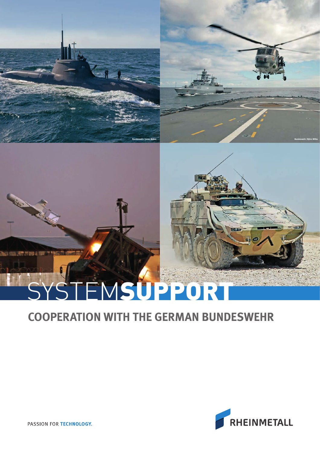# **Bundeswehr/Jonas Weber Bundeswehr/Björn Wilke**

# STEMSUPPORT

# **COOPERATION WITH THE GERMAN BUNDESWEHR**



PASSION FOR TECHNOLOGY.

**Ridge**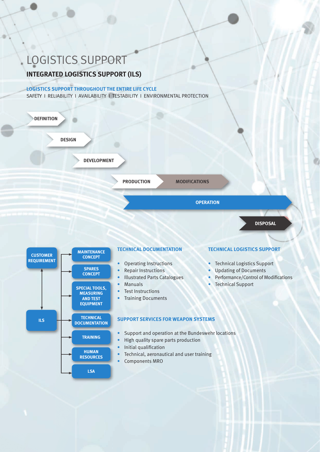# LOGISTICS SUPPORT

### **INTEGRATED LOGISTICS SUPPORT (ILS)**

### **LOGISTICS SUPPORT THROUGHOUT THE ENTIRE LIFE CYCLE**

SAFETY I RELIABILITY I AVAILABILITY I TESTABILITY I ENVIRONMENTAL PROTECTION



**DISPOSAL**

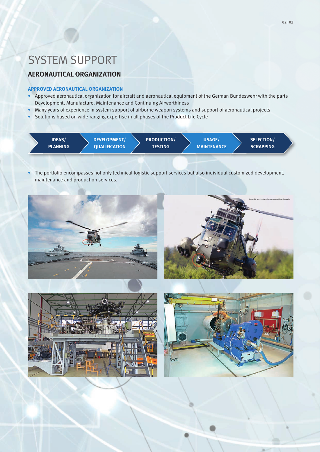# SYSTEM SUPPORT

### **AERONAUTICAL ORGANIZATION**

### **APPROVED AERONAUTICAL ORGANIZATION**

- Approved aeronautical organization for aircraft and aeronautical equipment of the German Bundeswehr with the parts Development, Manufacture, Maintenance and Continuing Airworthiness
- Many years of experience in system support of airborne weapon systems and support of aeronautical projects
- Solutions based on wide-ranging expertise in all phases of the Product Life Cycle



• The portfolio encompasses not only technical-logistic support services but also individual customized development, maintenance and production services.